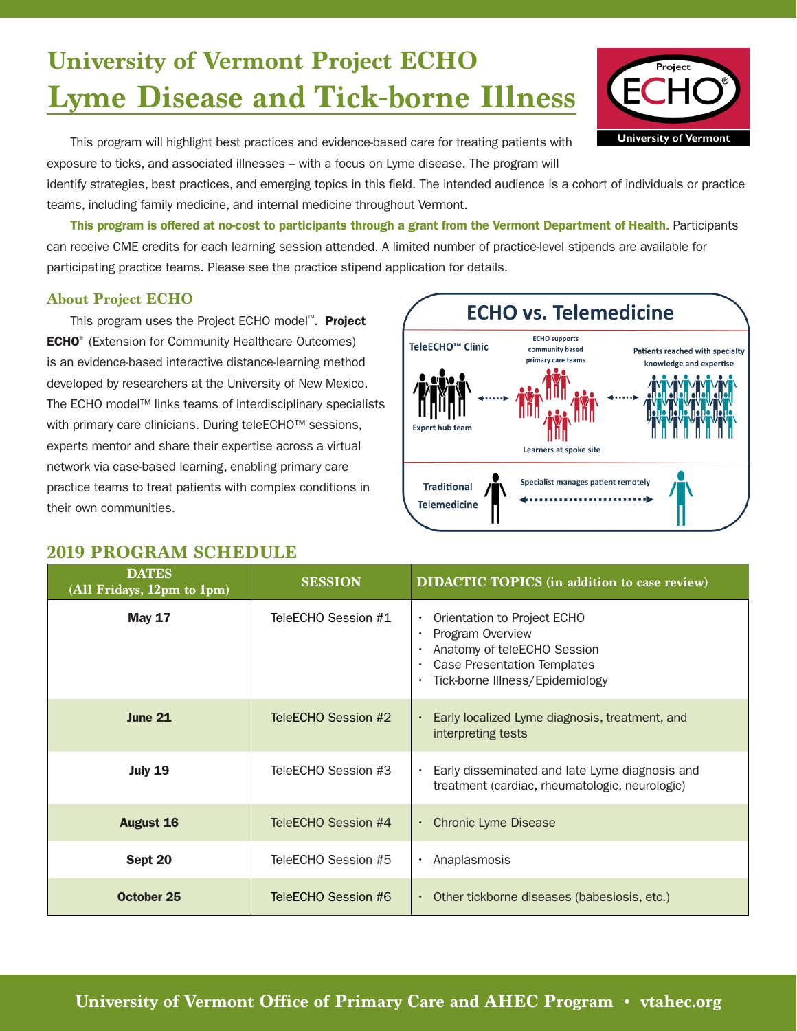# **University of Vermont Project ECHO Lyme Disease and Tick-borne Illness**

This program will highlight best practices and evidence-based care for treating patients with exposure to ticks, and associated illnesses – with a focus on Lyme disease. The program will

identify strategies, best practices, and emerging topics in this field. The intended audience is a cohort of individuals or practice teams, including family medicine, and internal medicine throughout Vermont.

This program is offered at no-cost to participants through a grant from the Vermont Department of Health. Participants can receive CME credits for each learning session attended. A limited number of practice-level stipends are available for participating practice teams. Please see the practice stipend application for details.

### **About Project ECHO**

This program uses the Project ECHO model<sup>™</sup>. Project **ECHO**<sup>®</sup> (Extension for Community Healthcare Outcomes) is an evidence-based interactive distance-learning method developed by researchers at the University of New Mexico. The ECHO model™ links teams of interdisciplinary specialists with primary care clinicians. During teleECHO™ sessions, experts mentor and share their expertise across a virtual network via case-based learning, enabling primary care practice teams to treat patients with complex conditions in their own communities.

### **2019 PROGRAM SCHEDULE**

**DATES**

| .<br>(All Fridays, 12pm to 1pm) | <b>SESSION</b>      | <b>DIDACTIC TOPICS</b> (in addition to case review)                                                                                                                               |
|---------------------------------|---------------------|-----------------------------------------------------------------------------------------------------------------------------------------------------------------------------------|
| <b>May 17</b>                   | TeleECHO Session #1 | Orientation to Project ECHO<br>Program Overview<br>Anatomy of teleECHO Session<br><b>Case Presentation Templates</b><br>$\bullet$<br>Tick-borne Illness/Epidemiology<br>$\bullet$ |
| <b>June 21</b>                  | TeleECHO Session #2 | Early localized Lyme diagnosis, treatment, and<br>interpreting tests                                                                                                              |
| <b>July 19</b>                  | TeleECHO Session #3 | Early disseminated and late Lyme diagnosis and<br>treatment (cardiac, rheumatologic, neurologic)                                                                                  |
| <b>August 16</b>                | TeleECHO Session #4 | <b>Chronic Lyme Disease</b><br>$\bullet$                                                                                                                                          |
| Sept 20                         | TeleECHO Session #5 | Anaplasmosis                                                                                                                                                                      |
| <b>October 25</b>               | TeleECHO Session #6 | Other tickborne diseases (babesiosis, etc.)<br>$\bullet$                                                                                                                          |

## **ECHO vs. Telemedicine ECHO** supports TeleECHO<sup>™</sup> Clinic community hased Patients reached with specialty primary care teams